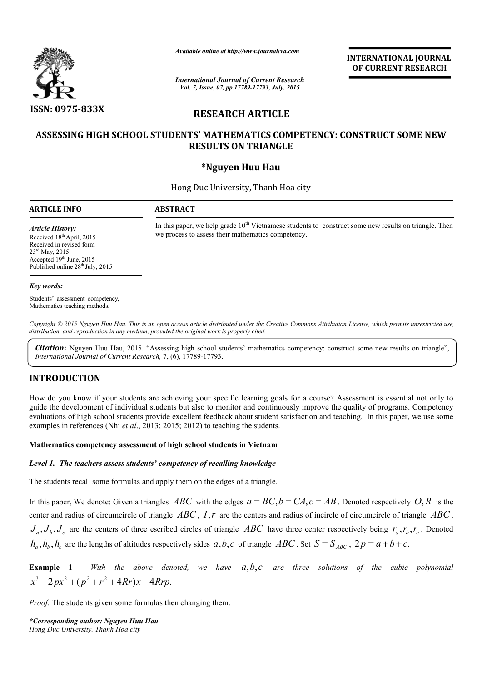

*Available online at http://www.journalcra.com*

*International Journal of Current Research Vol. 7, Issue, 07, pp.17789-17793, July, 2015*

**INTERNATIONAL INTERNATIONAL JOURNAL OF CURRENT RESEARCH** 

# **RESEARCH ARTICLE**

# **ASSESSING HIGH SCHOOL STUDENTS' MATHEMATICS COMPETENCY: CONSTRUCT SOME NEW STUDENTS' MATHEMATICS RESULTS ON TRIANGLE**

# **\*Nguyen Huu Hau**

Hong Duc University, Thanh Hoa city **-**

# **ARTICLE INFO ABSTRACT**

*Article History:*

In this paper, we help grade  $10<sup>th</sup>$  Vietnamese students to construct some new results on triangle. Then we process to assess their mathematics competency.

Received 18<sup>th</sup> April, 2015 Received in revised form 23rd May, 2015 Accepted 19<sup>th</sup> June, 2015 Published online 28<sup>th</sup> July, 2015

#### *Key words:*

Students' assessment competency, Mathematics teaching methods.

*Copyright © 2015 Nguyen Huu Hau. This is an open access article distributed under the Creative Commons Att Attribution License, which ribution permits unrestricted use, distribution, and reproduction in any medium, provided the original work is properly cited.*

Citation: Nguyen Huu Hau, 2015. "Assessing high school students' mathematics competency: construct some new results on triangle", **Citation:** Nguyen Huu Hau, 2015. "Assessing high school st<br>International Journal of Current Research, 7, (6), 17789-17793.

# **INTRODUCTION**

How do you know if your students are achieving your specific learning goals for a course? Assessment is essential not only to guide the development of individual students but also to monitor and continuously improve the quality of programs. Competency evaluations of high school students provide excellent feedback about student satisfaction and teaching. In this paper, we use some evaluations of high school students provide excellent feedback about student s<br>examples in references (Nhi *et al.*, 2013; 2015; 2012) to teaching the sudents.

# **Mathematics competency assessment of high schoo school students in Vietnam**

#### *Level 1. The teachers assess students' competency of recalling knowledge*

The students recall some formulas and apply them on the edges of a triangle.

In this paper, We denote: Given a triangles  $ABC$  with the edges  $a = BC$ ,  $b = CA$ ,  $c = AB$ . Denoted respectively  $O, R$  is the center and radius of circumcircle of triangle  $ABC$ ,  $I$ ,  $r$  are the centers and radius of incircle of circumcircle of triangle  $ABC$ ,  $J_a$ ,  $J_b$ ,  $J_c$  are the centers of three escribed circles of triangle ABC have three center respectively being  $r_a$ ,  $r_b$ ,  $r_c$ . Denoted  $h_a$ ,  $h_b$ ,  $h_c$  are the lengths of altitudes respectively sides  $a, b, c$  of triangle ABC. Set  $S = S_{ABC}$ ,  $2p = a + b + c$ . **EXERUST DONALL JOURNAL**<br> **DECURRENT RESEARCH**<br> **Are of CURRENT RESEARCH**<br> **Are of CURRENT RESEARCH**<br> **CLE**<br> **COMPETENCY: CONSTRUCT SOME NEW**<br> **GLE**<br> **RESPONDETENCY: CONSTRUCT SOME NEW**<br> **ARE COMPETENCY: CONSTRUCT SOME NE** 

**Example 1** *With the above denoted, we have a,b,c*  $x^3 - 2px^2 + (p^2 + r^2 + 4Rr)x - 4Rrp.$ *a*,*b*,*c are three solutions of the cubic polynomial* 

*Proof.* The students given some formulas then changing them.

*\*Corresponding author: Nguyen Huu Hau Hong Duc University, Thanh Hoa city*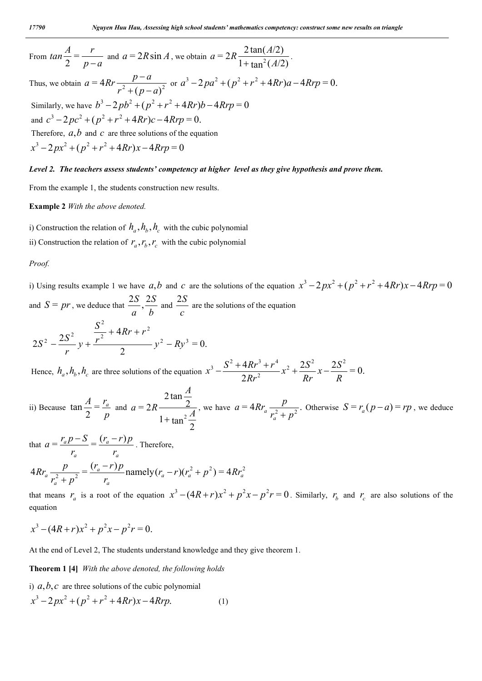From 
$$
\tan \frac{A}{2} = \frac{r}{p-a}
$$
 and  $a = 2R \sin A$ , we obtain  $a = 2R \frac{2 \tan(A/2)}{1 + \tan^2(A/2)}$ .  
Thus, we obtain  $a = 4Rr \frac{p-a}{r^2 + (p-a)^2}$  or  $a^3 - 2pa^2 + (p^2 + r^2 + 4Rr)a - 4Rrp = 0$ .

Similarly, we have  $b^3 - 2pb^2 + (p^2 + r^2 + 4Rr)b - 4Rrp = 0$ and  $c^3 - 2pc^2 + (p^2 + r^2 + 4Rr)c - 4Rrp = 0$ . Therefore,  $a, b$  and  $c$  are three solutions of the equation  $x^3 - 2px^2 + (p^2 + r^2 + 4Rr)x - 4Rrp = 0$ 

#### *Level 2. The teachers assess students' competency at higher level as they give hypothesis and prove them.*

From the example 1, the students construction new results.

#### **Example 2** *With the above denoted.*

i) Construction the relation of  $h_a$ ,  $h_b$ ,  $h_c$  with the cubic polynomial ii) Construction the relation of  $r_a$ ,  $r_b$ ,  $r_c$  with the cubic polynomial

#### *Proof.*

i) Using results example 1 we have  $a,b$  and  $c$  are the solutions of the equation  $x^3 - 2px^2 + (p^2 + r^2 + 4Rr)x - 4Rrp = 0$ and  $S = pr$ , we deduce that  $\frac{2S}{a}, \frac{2S}{b}$ *a*  $\frac{2S}{a}$ ,  $\frac{2S}{b}$  and  $\frac{2S}{c}$ 2*S* are the solutions of the equation

$$
2S^{2} - \frac{2S^{2}}{r}y + \frac{\frac{S^{2}}{r^{2}} + 4Rr + r^{2}}{2}y^{2} - Ry^{3} = 0.
$$

Hence,  $h_a$ ,  $h_b$ ,  $h_c$  are three solutions of the equation  $x^3 - \frac{S^2 + 4Rr^3 + r^4}{2Rr^2}x^2 + \frac{2S^2}{Rr}x - \frac{2S^2}{R} = 0$ .  $4Rr^3 + r^4$   $\frac{2}{r^2}$   $2S^2$   $\frac{2S^2}{r^2}$ 2 3  $S^2 + 4Rr^3 + r^4$ *R*  $x-\frac{2S}{R}$ *Rr*  $x^2 + \frac{2S}{R}$ *Rr*  $x^3 - \frac{S^2 + 4Rr^3 + r^4}{2Rr^2}x^2 + \frac{2S^2}{R}x -$ 

ii) Because 
$$
\tan \frac{A}{2} = \frac{r_a}{p}
$$
 and  $a = 2R \frac{2 \tan \frac{A}{2}}{1 + \tan^2 \frac{A}{2}}$ , we have  $a = 4Rr_a \frac{p}{r_a^2 + p^2}$ . Otherwise  $S = r_a(p - a) = rp$ , we deduce

that *a a a a r*  $(r_a - r)p$ *r*  $a = \frac{r_a p - S}{r_a} = \frac{(r_a - r)p}{r_a}$ . Therefore,  $4Rr_a \frac{p}{r^2 + r^2} = \frac{(r_a - r)p}{r_a}$  namely  $(r_a - r)(r_a^2 + p^2) = 4Rr_a^2$ *a a a*  $\frac{P}{a} \frac{P}{r_a^2 + p^2} = \frac{(r_a - r)p}{r_a}$  namely  $(r_a - r)(r_a^2 + p^2) = 4Rr_a$  $(r_a - r)p$  $r_a^2 + p$  $Rr_a \frac{p}{r^2} = \frac{(r_a - r)p}{r^2}$  namely  $(r_a - r)(r_a^2 + r^2)$  $^{+}$ 

that means  $r_a$  is a root of the equation  $x^3 - (4R + r)x^2 + p^2x - p^2r = 0$ . Similarly,  $r_b$  and  $r_c$  are also solutions of the equation

$$
x^3 - (4R + r)x^2 + p^2x - p^2r = 0.
$$

At the end of Level 2, The students understand knowledge and they give theorem 1.

# **Theorem 1 [4]** *With the above denoted, the following holds*

i)  $a, b, c$  are three solutions of the cubic polynomial

$$
x^3 - 2px^2 + (p^2 + r^2 + 4Rr)x - 4Rrp.
$$
 (1)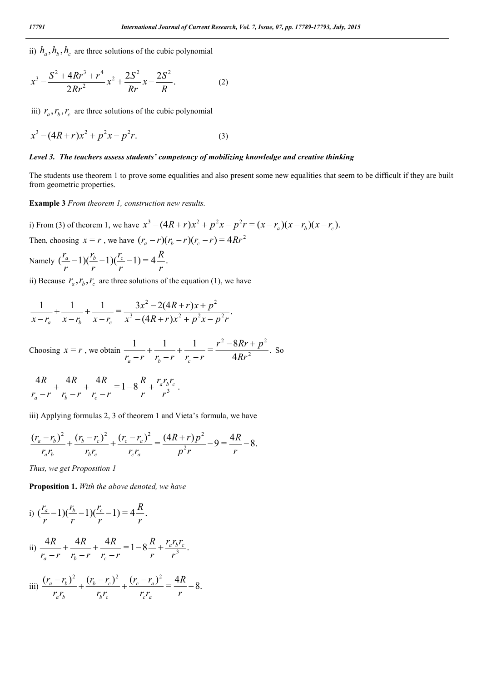ii)  $h_a$ ,  $h_b$ ,  $h_c$  are three solutions of the cubic polynomial

$$
x^3 - \frac{S^2 + 4Rr^3 + r^4}{2Rr^2}x^2 + \frac{2S^2}{Rr}x - \frac{2S^2}{R}.
$$
 (2)

iii)  $r_a$ ,  $r_b$ ,  $r_c$  are three solutions of the cubic polynomial

$$
x^3 - (4R+r)x^2 + p^2x - p^2r.
$$
 (3)

# *Level 3. The teachers assess students' competency of mobilizing knowledge and creative thinking*

The students use theorem 1 to prove some equalities and also present some new equalities that seem to be difficult if they are built from geometric properties.

**Example 3** *From theorem 1, construction new results.* 

i) From (3) of theorem 1, we have  $x^3 - (4R + r)x^2 + p^2x - p^2r = (x - r_a)(x - r_b)(x - r_c)$ . Then, choosing  $x = r$ , we have  $(r_a - r)(r_b - r)(r_c - r) = 4Rr^2$ 

Namely  $\left(\frac{a}{a}-1\right)\left(\frac{b}{b}-1\right)\left(\frac{c}{c}-1\right)=4\frac{R}{c}$ . *r R r r r r r*  $(r_a - 1)(\frac{r_b}{r} - 1)(\frac{r_c}{r} -$ 

ii) Because  $r_a$ ,  $r_b$ ,  $r_c$  are three solutions of the equation (1), we have

$$
\frac{1}{x-r_a} + \frac{1}{x-r_b} + \frac{1}{x-r_c} = \frac{3x^2 - 2(4R+r)x + p^2}{x^3 - (4R+r)x^2 + p^2x - p^2r}.
$$

Choosing 
$$
x = r
$$
, we obtain  $\frac{1}{r_a - r} + \frac{1}{r_b - r} + \frac{1}{r_c - r} = \frac{r^2 - 8Rr + p^2}{4Rr^2}$ . So

$$
\frac{4R}{r_a-r} + \frac{4R}{r_b-r} + \frac{4R}{r_c-r} = 1 - 8\frac{R}{r} + \frac{r_a r_b r_c}{r^3}.
$$

iii) Applying formulas 2, 3 of theorem 1 and Vieta's formula, we have

$$
\frac{(r_a - r_b)^2}{r_a r_b} + \frac{(r_b - r_c)^2}{r_b r_c} + \frac{(r_c - r_a)^2}{r_c r_a} = \frac{(4R + r)p^2}{p^2 r} - 9 = \frac{4R}{r} - 8.
$$

*Thus, we get Proposition 1*

**Proposition 1.** *With the above denoted, we have* 

i) 
$$
\frac{(r_a - 1)(\frac{r_b}{r} - 1)(\frac{r_c}{r} - 1)}{(r_a - r)} = 4\frac{R}{r}.
$$
  
\nii) 
$$
\frac{4R}{r_a - r} + \frac{4R}{r_b - r} + \frac{4R}{r_c - r} = 1 - 8\frac{R}{r} + \frac{r_a r_b r_c}{r^3}.
$$
  
\niii) 
$$
\frac{(r_a - r_b)^2}{r_a r_b} + \frac{(r_b - r_c)^2}{r_b r_c} + \frac{(r_c - r_a)^2}{r_c r_a} = \frac{4R}{r} - 8.
$$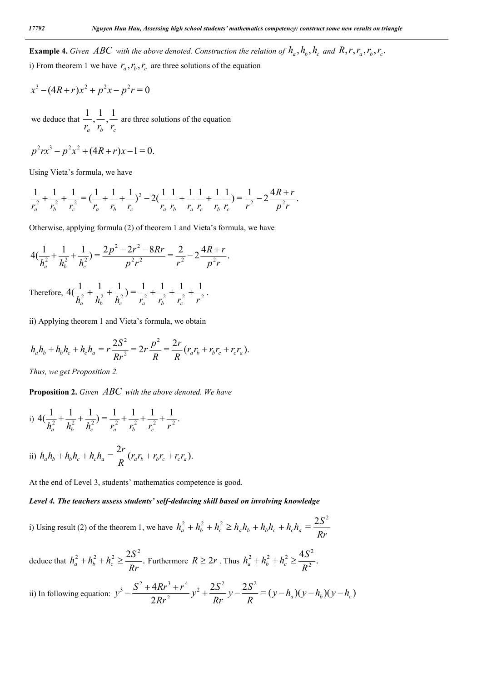**Example 4.** Given ABC with the above denoted. Construction the relation of  $h_a$ ,  $h_b$ ,  $h_c$  and  $R$ ,  $r_a$ ,  $r_a$ ,  $r_b$ ,  $r_c$ .

i) From theorem 1 we have  $r_a$ ,  $r_b$ ,  $r_c$  are three solutions of the equation

$$
x^{3} - (4R+r)x^{2} + p^{2}x - p^{2}r = 0
$$
  
we deduce that  $\frac{1}{r_{a}}, \frac{1}{r_{b}}, \frac{1}{r_{c}}$  are three solutions of the equation

$$
p^2rx^3 - p^2x^2 + (4R + r)x - 1 = 0.
$$

Using Vieta's formula, we have

$$
\frac{1}{r_a^2} + \frac{1}{r_b^2} + \frac{1}{r_c^2} = \left(\frac{1}{r_a} + \frac{1}{r_b} + \frac{1}{r_c}\right)^2 - 2\left(\frac{1}{r_a} + \frac{1}{r_b} + \frac{1}{r_a} + \frac{1}{r_b} + \frac{1}{r_c}\right) = \frac{1}{r^2} - 2\frac{4R + r}{p^2r}.
$$

Otherwise, applying formula (2) of theorem 1 and Vieta's formula, we have

$$
4\left(\frac{1}{h_a^2} + \frac{1}{h_b^2} + \frac{1}{h_c^2}\right) = \frac{2p^2 - 2r^2 - 8Rr}{p^2r^2} = \frac{2}{r^2} - 2\frac{4R + r}{p^2r}.
$$

Therefore,  $4\left(\frac{1}{h_a^2} + \frac{1}{h_b^2} + \frac{1}{h_c^2}\right) = \frac{1}{r_a^2} + \frac{1}{r_b^2} + \frac{1}{r_c^2} + \frac{1}{r^2}$ .

ii) Applying theorem 1 and Vieta's formula, we obtain

$$
h_a h_b + h_b h_c + h_c h_a = r \frac{2S^2}{Rr^2} = 2r \frac{p^2}{R} = \frac{2r}{R} (r_a r_b + r_b r_c + r_c r_a).
$$

*Thus, we get Proposition 2.*

**Proposition 2.** *Given ABC with the above denoted. We have* 

i) 
$$
4\left(\frac{1}{h_a^2} + \frac{1}{h_b^2} + \frac{1}{h_c^2}\right) = \frac{1}{r_a^2} + \frac{1}{r_b^2} + \frac{1}{r_c^2} + \frac{1}{r^2}.
$$
  
\nii)  $h_a h_b + h_b h_c + h_c h_a = \frac{2r}{R} (r_a r_b + r_b r_c + r_c r_a).$ 

At the end of Level 3, students' mathematics competence is good.

# *Level 4. The teachers assess students' self-deducing skill based on involving knowledge*

i) Using result (2) of the theorem 1, we have  $h_a^2 + h_b^2 + h_c^2 \ge h_a h_b + h_b h_c + h_c h_a = \frac{2S^2}{Rr}$ 

deduce that  $h_a^2 + h_b^2 + h_c^2 \ge \frac{2S^2}{R}$ .  $h_a^2 + h_b^2 + h_c^2 \ge \frac{2S^2}{Rr}$ . Furthermore  $R \ge 2r$ . Thus  $h_a^2 + h_b^2 + h_c^2 \ge \frac{4S^2}{R^2}$ .  $2 + h^2 + h^2 > 4S^2$  $h_a^2 + h_b^2 + h_c^2 \ge \frac{4S}{R}$ 

ii) In following equation: 
$$
y^3 - \frac{S^2 + 4Rr^3 + r^4}{2Rr^2}y^2 + \frac{2S^2}{Rr}y - \frac{2S^2}{R} = (y - h_a)(y - h_b)(y - h_c)
$$